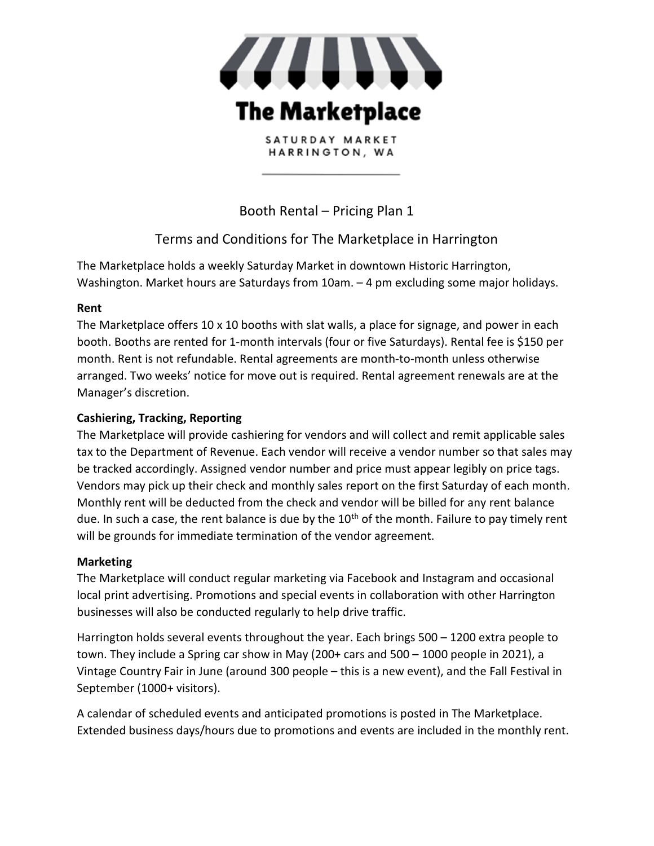

SATURDAY MARKET HARRINGTON, WA

Booth Rental – Pricing Plan 1

# Terms and Conditions for The Marketplace in Harrington

The Marketplace holds a weekly Saturday Market in downtown Historic Harrington, Washington. Market hours are Saturdays from 10am. – 4 pm excluding some major holidays.

## Rent

The Marketplace offers 10 x 10 booths with slat walls, a place for signage, and power in each booth. Booths are rented for 1-month intervals (four or five Saturdays). Rental fee is \$150 per month. Rent is not refundable. Rental agreements are month-to-month unless otherwise arranged. Two weeks' notice for move out is required. Rental agreement renewals are at the Manager's discretion.

## Cashiering, Tracking, Reporting

The Marketplace will provide cashiering for vendors and will collect and remit applicable sales tax to the Department of Revenue. Each vendor will receive a vendor number so that sales may be tracked accordingly. Assigned vendor number and price must appear legibly on price tags. Vendors may pick up their check and monthly sales report on the first Saturday of each month. Monthly rent will be deducted from the check and vendor will be billed for any rent balance due. In such a case, the rent balance is due by the 10<sup>th</sup> of the month. Failure to pay timely rent will be grounds for immediate termination of the vendor agreement.

## Marketing

The Marketplace will conduct regular marketing via Facebook and Instagram and occasional local print advertising. Promotions and special events in collaboration with other Harrington businesses will also be conducted regularly to help drive traffic.

Harrington holds several events throughout the year. Each brings 500 – 1200 extra people to town. They include a Spring car show in May (200+ cars and 500 – 1000 people in 2021), a Vintage Country Fair in June (around 300 people – this is a new event), and the Fall Festival in September (1000+ visitors).

A calendar of scheduled events and anticipated promotions is posted in The Marketplace. Extended business days/hours due to promotions and events are included in the monthly rent.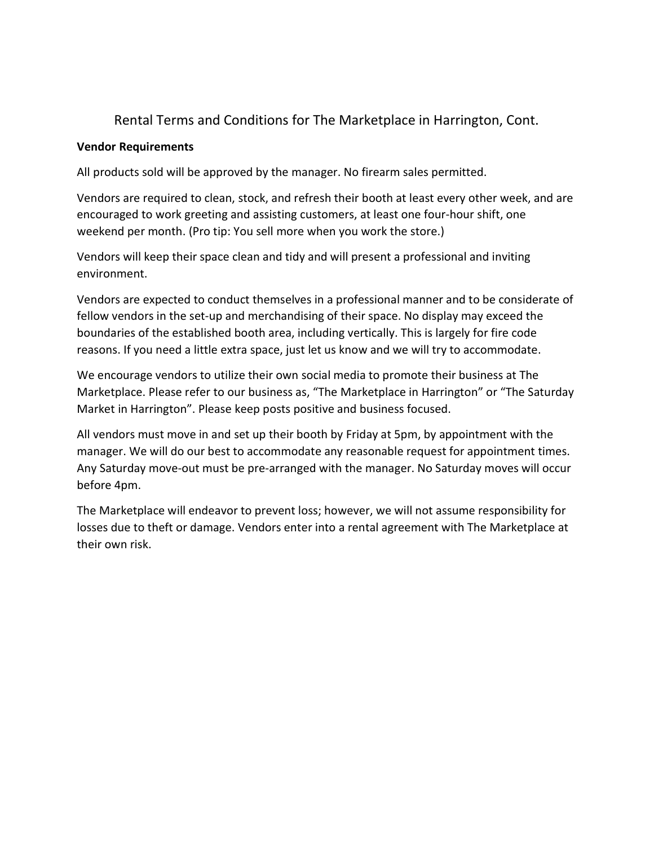## Rental Terms and Conditions for The Marketplace in Harrington, Cont.

#### Vendor Requirements

All products sold will be approved by the manager. No firearm sales permitted.

Vendors are required to clean, stock, and refresh their booth at least every other week, and are encouraged to work greeting and assisting customers, at least one four-hour shift, one weekend per month. (Pro tip: You sell more when you work the store.)

Vendors will keep their space clean and tidy and will present a professional and inviting environment.

Vendors are expected to conduct themselves in a professional manner and to be considerate of fellow vendors in the set-up and merchandising of their space. No display may exceed the boundaries of the established booth area, including vertically. This is largely for fire code reasons. If you need a little extra space, just let us know and we will try to accommodate.

We encourage vendors to utilize their own social media to promote their business at The Marketplace. Please refer to our business as, "The Marketplace in Harrington" or "The Saturday Market in Harrington". Please keep posts positive and business focused.

All vendors must move in and set up their booth by Friday at 5pm, by appointment with the manager. We will do our best to accommodate any reasonable request for appointment times. Any Saturday move-out must be pre-arranged with the manager. No Saturday moves will occur before 4pm.

The Marketplace will endeavor to prevent loss; however, we will not assume responsibility for losses due to theft or damage. Vendors enter into a rental agreement with The Marketplace at their own risk.